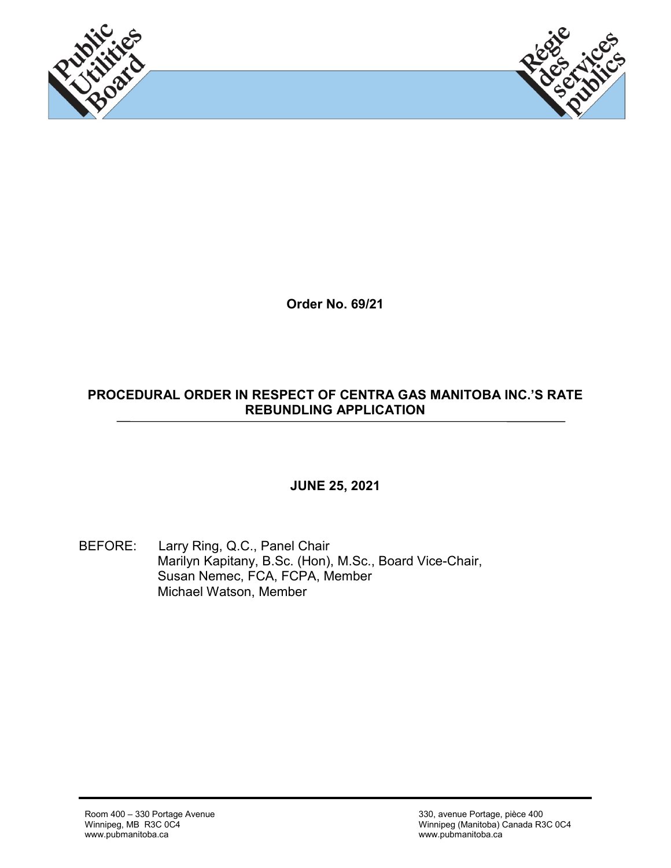



**Order No. 69/21**

#### **PROCEDURAL ORDER IN RESPECT OF CENTRA GAS MANITOBA INC.'S RATE REBUNDLING APPLICATION**

#### **JUNE 25, 2021**

BEFORE: Larry Ring, Q.C., Panel Chair Marilyn Kapitany, B.Sc. (Hon), M.Sc., Board Vice-Chair, Susan Nemec, FCA, FCPA, Member Michael Watson, Member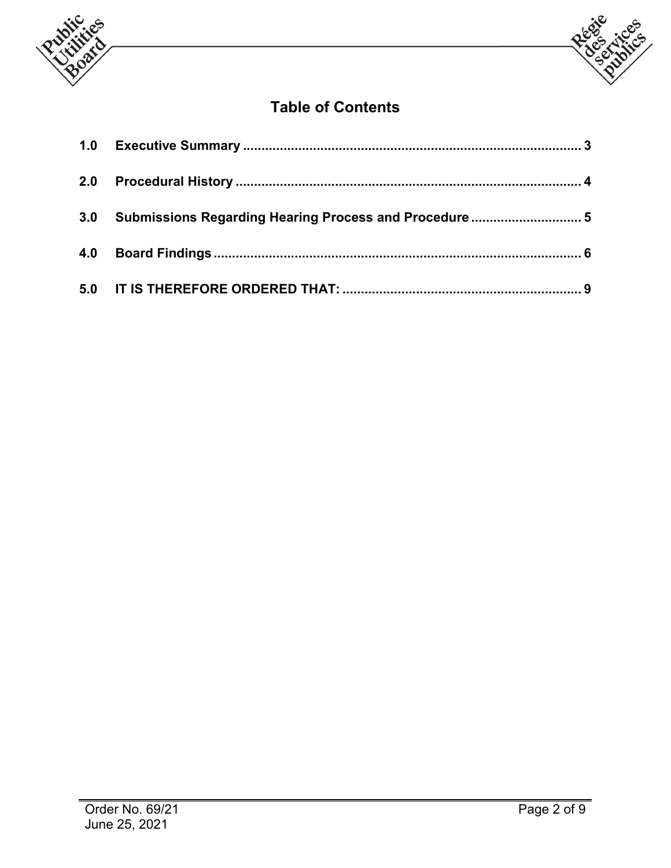



# **Table of Contents**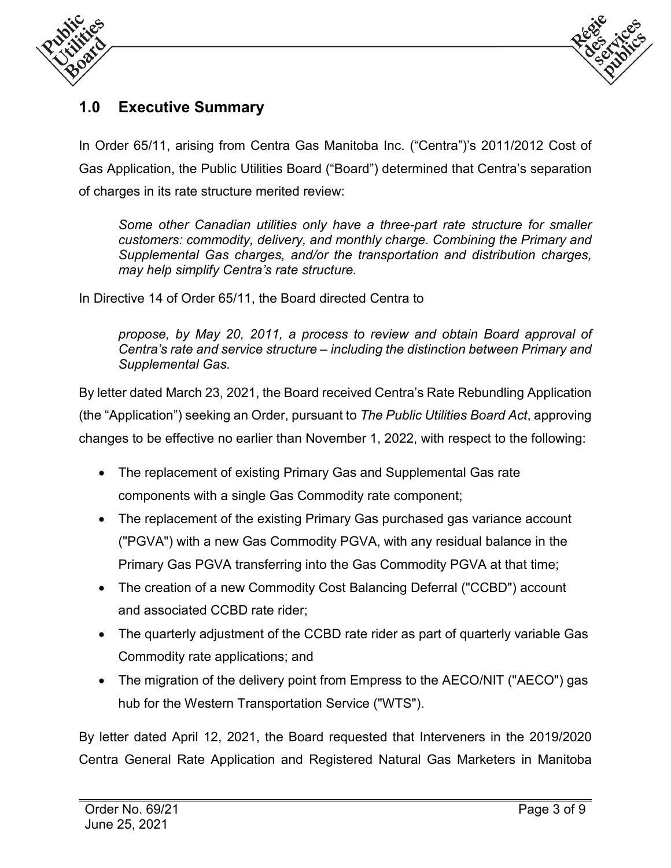



## **1.0 Executive Summary**

In Order 65/11, arising from Centra Gas Manitoba Inc. ("Centra")'s 2011/2012 Cost of Gas Application, the Public Utilities Board ("Board") determined that Centra's separation of charges in its rate structure merited review:

*Some other Canadian utilities only have a three-part rate structure for smaller customers: commodity, delivery, and monthly charge. Combining the Primary and Supplemental Gas charges, and/or the transportation and distribution charges, may help simplify Centra's rate structure.*

In Directive 14 of Order 65/11, the Board directed Centra to

*propose, by May 20, 2011, a process to review and obtain Board approval of Centra's rate and service structure – including the distinction between Primary and Supplemental Gas.*

By letter dated March 23, 2021, the Board received Centra's Rate Rebundling Application (the "Application") seeking an Order, pursuant to *The Public Utilities Board Act*, approving changes to be effective no earlier than November 1, 2022, with respect to the following:

- The replacement of existing Primary Gas and Supplemental Gas rate components with a single Gas Commodity rate component;
- The replacement of the existing Primary Gas purchased gas variance account ("PGVA") with a new Gas Commodity PGVA, with any residual balance in the Primary Gas PGVA transferring into the Gas Commodity PGVA at that time;
- The creation of a new Commodity Cost Balancing Deferral ("CCBD") account and associated CCBD rate rider;
- The quarterly adjustment of the CCBD rate rider as part of quarterly variable Gas Commodity rate applications; and
- The migration of the delivery point from Empress to the AECO/NIT ("AECO") gas hub for the Western Transportation Service ("WTS").

By letter dated April 12, 2021, the Board requested that Interveners in the 2019/2020 Centra General Rate Application and Registered Natural Gas Marketers in Manitoba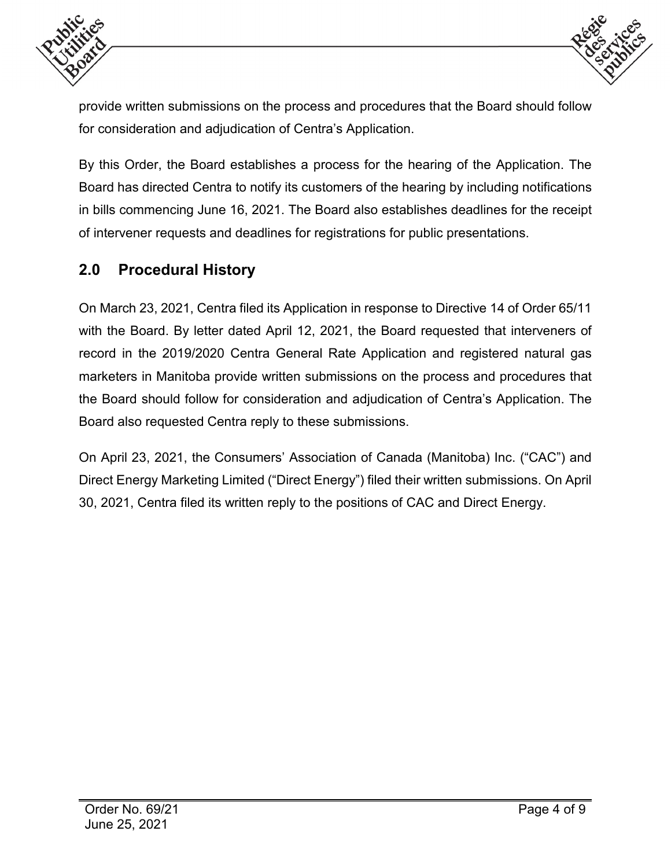



provide written submissions on the process and procedures that the Board should follow for consideration and adjudication of Centra's Application.

By this Order, the Board establishes a process for the hearing of the Application. The Board has directed Centra to notify its customers of the hearing by including notifications in bills commencing June 16, 2021. The Board also establishes deadlines for the receipt of intervener requests and deadlines for registrations for public presentations.

### **2.0 Procedural History**

On March 23, 2021, Centra filed its Application in response to Directive 14 of Order 65/11 with the Board. By letter dated April 12, 2021, the Board requested that interveners of record in the 2019/2020 Centra General Rate Application and registered natural gas marketers in Manitoba provide written submissions on the process and procedures that the Board should follow for consideration and adjudication of Centra's Application. The Board also requested Centra reply to these submissions.

On April 23, 2021, the Consumers' Association of Canada (Manitoba) Inc. ("CAC") and Direct Energy Marketing Limited ("Direct Energy") filed their written submissions. On April 30, 2021, Centra filed its written reply to the positions of CAC and Direct Energy.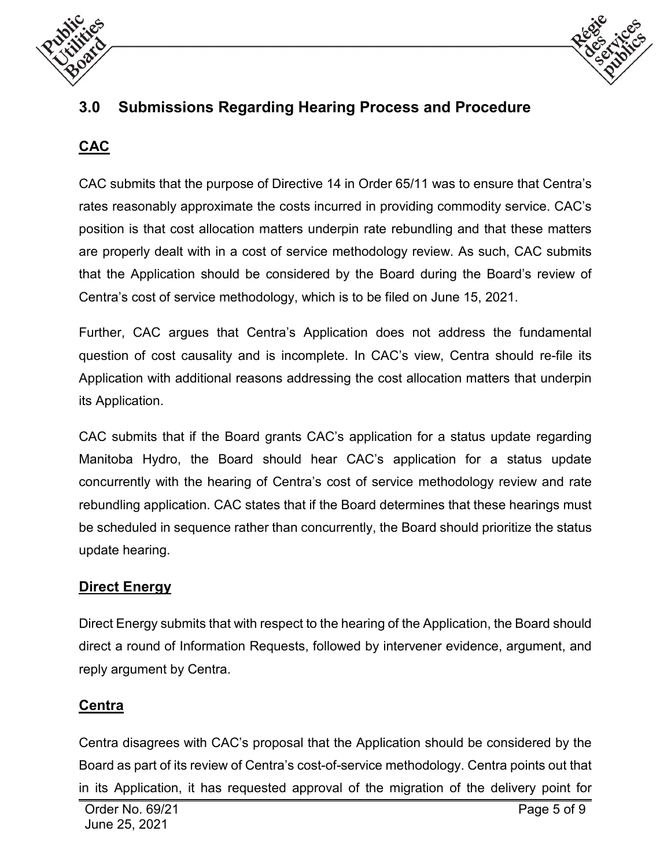



# **3.0 Submissions Regarding Hearing Process and Procedure**

## **CAC**

CAC submits that the purpose of Directive 14 in Order 65/11 was to ensure that Centra's rates reasonably approximate the costs incurred in providing commodity service. CAC's position is that cost allocation matters underpin rate rebundling and that these matters are properly dealt with in a cost of service methodology review. As such, CAC submits that the Application should be considered by the Board during the Board's review of Centra's cost of service methodology, which is to be filed on June 15, 2021.

Further, CAC argues that Centra's Application does not address the fundamental question of cost causality and is incomplete. In CAC's view, Centra should re-file its Application with additional reasons addressing the cost allocation matters that underpin its Application.

CAC submits that if the Board grants CAC's application for a status update regarding Manitoba Hydro, the Board should hear CAC's application for a status update concurrently with the hearing of Centra's cost of service methodology review and rate rebundling application. CAC states that if the Board determines that these hearings must be scheduled in sequence rather than concurrently, the Board should prioritize the status update hearing.

#### **Direct Energy**

Direct Energy submits that with respect to the hearing of the Application, the Board should direct a round of Information Requests, followed by intervener evidence, argument, and reply argument by Centra.

#### **Centra**

Centra disagrees with CAC's proposal that the Application should be considered by the Board as part of its review of Centra's cost-of-service methodology. Centra points out that in its Application, it has requested approval of the migration of the delivery point for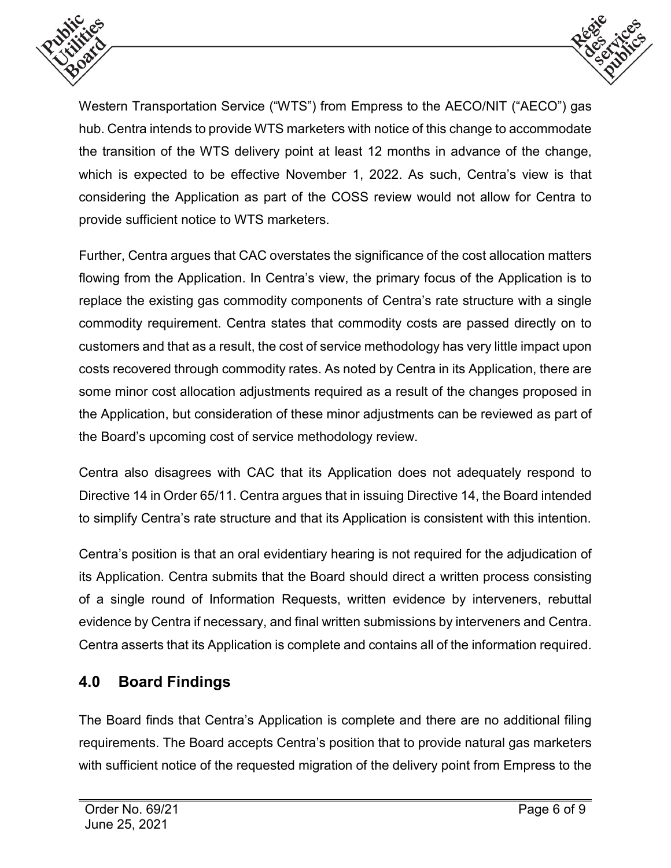



Western Transportation Service ("WTS") from Empress to the AECO/NIT ("AECO") gas hub. Centra intends to provide WTS marketers with notice of this change to accommodate the transition of the WTS delivery point at least 12 months in advance of the change, which is expected to be effective November 1, 2022. As such, Centra's view is that considering the Application as part of the COSS review would not allow for Centra to provide sufficient notice to WTS marketers.

Further, Centra argues that CAC overstates the significance of the cost allocation matters flowing from the Application. In Centra's view, the primary focus of the Application is to replace the existing gas commodity components of Centra's rate structure with a single commodity requirement. Centra states that commodity costs are passed directly on to customers and that as a result, the cost of service methodology has very little impact upon costs recovered through commodity rates. As noted by Centra in its Application, there are some minor cost allocation adjustments required as a result of the changes proposed in the Application, but consideration of these minor adjustments can be reviewed as part of the Board's upcoming cost of service methodology review.

Centra also disagrees with CAC that its Application does not adequately respond to Directive 14 in Order 65/11. Centra argues that in issuing Directive 14, the Board intended to simplify Centra's rate structure and that its Application is consistent with this intention.

Centra's position is that an oral evidentiary hearing is not required for the adjudication of its Application. Centra submits that the Board should direct a written process consisting of a single round of Information Requests, written evidence by interveners, rebuttal evidence by Centra if necessary, and final written submissions by interveners and Centra. Centra asserts that its Application is complete and contains all of the information required.

# **4.0 Board Findings**

The Board finds that Centra's Application is complete and there are no additional filing requirements. The Board accepts Centra's position that to provide natural gas marketers with sufficient notice of the requested migration of the delivery point from Empress to the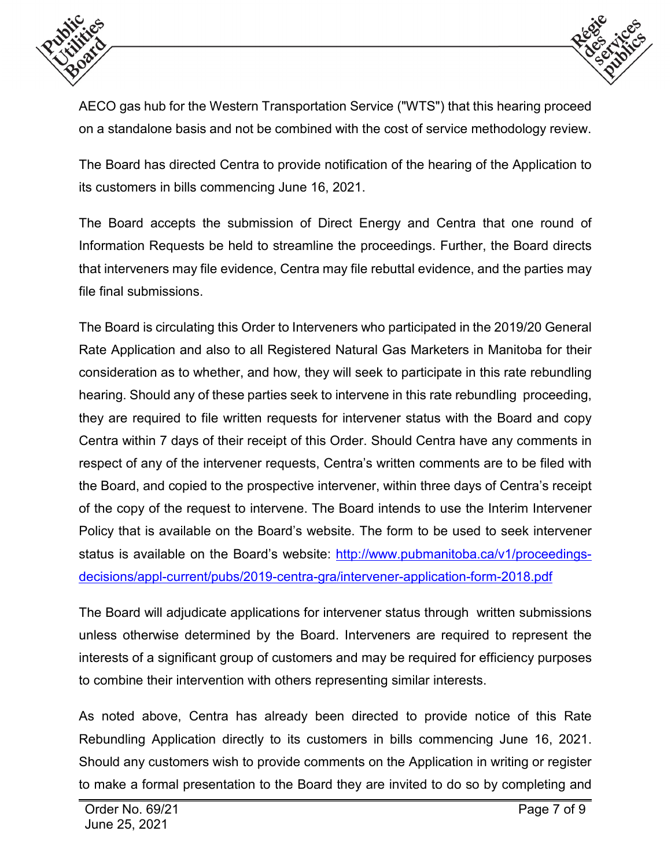



AECO gas hub for the Western Transportation Service ("WTS") that this hearing proceed on a standalone basis and not be combined with the cost of service methodology review.

The Board has directed Centra to provide notification of the hearing of the Application to its customers in bills commencing June 16, 2021.

The Board accepts the submission of Direct Energy and Centra that one round of Information Requests be held to streamline the proceedings. Further, the Board directs that interveners may file evidence, Centra may file rebuttal evidence, and the parties may file final submissions.

The Board is circulating this Order to Interveners who participated in the 2019/20 General Rate Application and also to all Registered Natural Gas Marketers in Manitoba for their consideration as to whether, and how, they will seek to participate in this rate rebundling hearing. Should any of these parties seek to intervene in this rate rebundling proceeding, they are required to file written requests for intervener status with the Board and copy Centra within 7 days of their receipt of this Order. Should Centra have any comments in respect of any of the intervener requests, Centra's written comments are to be filed with the Board, and copied to the prospective intervener, within three days of Centra's receipt of the copy of the request to intervene. The Board intends to use the Interim Intervener Policy that is available on the Board's website. The form to be used to seek intervener status is available on the Board's website: [http://www.pubmanitoba.ca/v1/proceedings](http://www.pubmanitoba.ca/v1/proceedings-decisions/appl-current/pubs/2019-centra-gra/intervener-application-form-2018.pdf)[decisions/appl-current/pubs/2019-centra-gra/intervener-application-form-2018.pdf](http://www.pubmanitoba.ca/v1/proceedings-decisions/appl-current/pubs/2019-centra-gra/intervener-application-form-2018.pdf)

The Board will adjudicate applications for intervener status through written submissions unless otherwise determined by the Board. Interveners are required to represent the interests of a significant group of customers and may be required for efficiency purposes to combine their intervention with others representing similar interests.

As noted above, Centra has already been directed to provide notice of this Rate Rebundling Application directly to its customers in bills commencing June 16, 2021. Should any customers wish to provide comments on the Application in writing or register to make a formal presentation to the Board they are invited to do so by completing and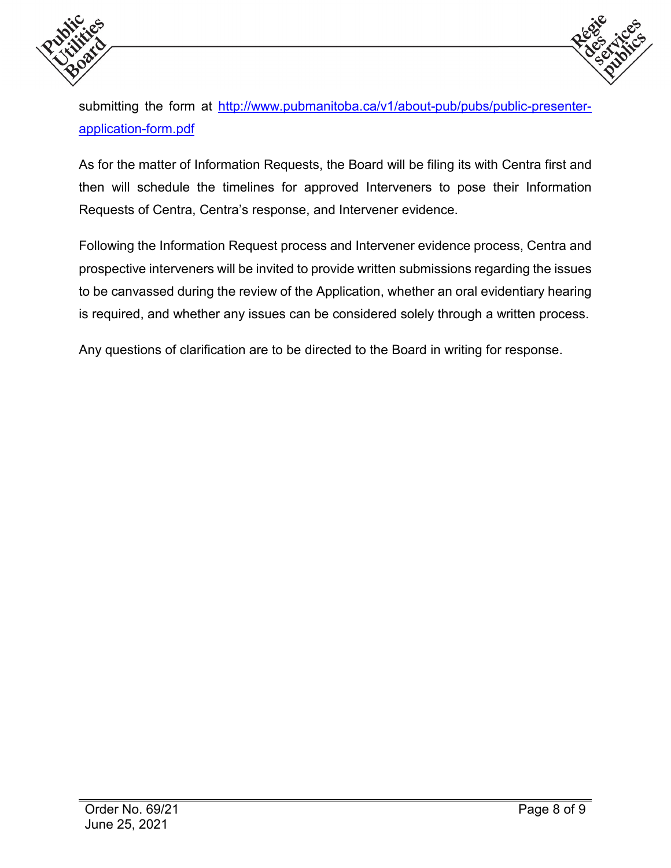



submitting the form at [http://www.pubmanitoba.ca/v1/about-pub/pubs/public-presenter](http://www.pubmanitoba.ca/v1/about-pub/pubs/public-presenter-application-form.pdf)[application-form.pdf](http://www.pubmanitoba.ca/v1/about-pub/pubs/public-presenter-application-form.pdf)

As for the matter of Information Requests, the Board will be filing its with Centra first and then will schedule the timelines for approved Interveners to pose their Information Requests of Centra, Centra's response, and Intervener evidence.

Following the Information Request process and Intervener evidence process, Centra and prospective interveners will be invited to provide written submissions regarding the issues to be canvassed during the review of the Application, whether an oral evidentiary hearing is required, and whether any issues can be considered solely through a written process.

Any questions of clarification are to be directed to the Board in writing for response.